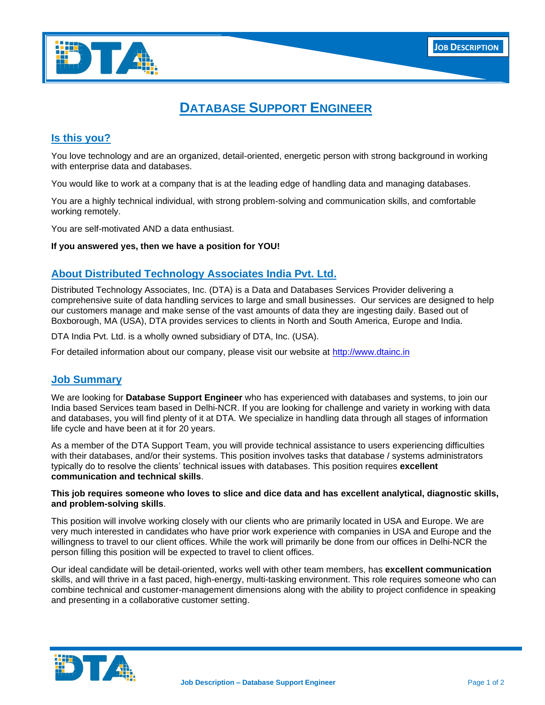

# **DATABASE SUPPORT ENGINEER**

## **Is this you?**

You love technology and are an organized, detail-oriented, energetic person with strong background in working with enterprise data and databases.

You would like to work at a company that is at the leading edge of handling data and managing databases.

You are a highly technical individual, with strong problem-solving and communication skills, and comfortable working remotely.

You are self-motivated AND a data enthusiast.

#### **If you answered yes, then we have a position for YOU!**

## **About Distributed Technology Associates India Pvt. Ltd.**

Distributed Technology Associates, Inc. (DTA) is a Data and Databases Services Provider delivering a comprehensive suite of data handling services to large and small businesses. Our services are designed to help our customers manage and make sense of the vast amounts of data they are ingesting daily. Based out of Boxborough, MA (USA), DTA provides services to clients in North and South America, Europe and India.

DTA India Pvt. Ltd. is a wholly owned subsidiary of DTA, Inc. (USA).

For detailed information about our company, please visit our website at [http://www.dtainc.in](http://www.dtainc.in/)

#### **Job Summary**

We are looking for **Database Support Engineer** who has experienced with databases and systems, to join our India based Services team based in Delhi-NCR. If you are looking for challenge and variety in working with data and databases, you will find plenty of it at DTA. We specialize in handling data through all stages of information life cycle and have been at it for 20 years.

As a member of the DTA Support Team, you will provide technical assistance to users experiencing difficulties with their databases, and/or their systems. This position involves tasks that database / systems administrators typically do to resolve the clients' technical issues with databases. This position requires **excellent communication and technical skills**.

#### **This job requires someone who loves to slice and dice data and has excellent analytical, diagnostic skills, and problem-solving skills**.

This position will involve working closely with our clients who are primarily located in USA and Europe. We are very much interested in candidates who have prior work experience with companies in USA and Europe and the willingness to travel to our client offices. While the work will primarily be done from our offices in Delhi-NCR the person filling this position will be expected to travel to client offices.

Our ideal candidate will be detail-oriented, works well with other team members, has **excellent communication**  skills, and will thrive in a fast paced, high-energy, multi-tasking environment. This role requires someone who can combine technical and customer-management dimensions along with the ability to project confidence in speaking and presenting in a collaborative customer setting.